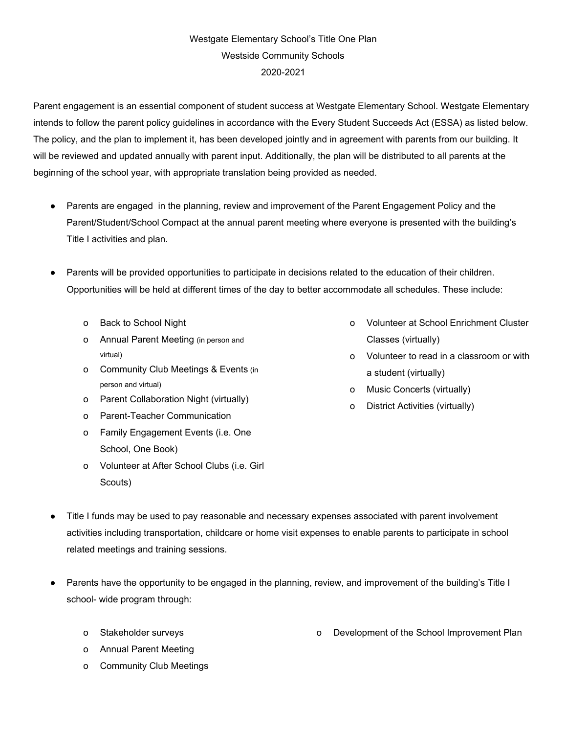## Westgate Elementary School's Title One Plan Westside Community Schools 2020-2021

Parent engagement is an essential component of student success at Westgate Elementary School. Westgate Elementary intends to follow the parent policy guidelines in accordance with the Every Student Succeeds Act (ESSA) as listed below. The policy, and the plan to implement it, has been developed jointly and in agreement with parents from our building. It will be reviewed and updated annually with parent input. Additionally, the plan will be distributed to all parents at the beginning of the school year, with appropriate translation being provided as needed.

- Parents are engaged in the planning, review and improvement of the Parent Engagement Policy and the Parent/Student/School Compact at the annual parent meeting where everyone is presented with the building's Title I activities and plan.
- Parents will be provided opportunities to participate in decisions related to the education of their children. Opportunities will be held at different times of the day to better accommodate all schedules. These include:
	- o Back to School Night
	- o Annual Parent Meeting (in person and virtual)
	- o Community Club Meetings & Events (in person and virtual)
	- o Parent Collaboration Night (virtually)
	- o Parent-Teacher Communication
	- o Family Engagement Events (i.e. One School, One Book)
	- o Volunteer at After School Clubs (i.e. Girl Scouts)
- o Volunteer at School Enrichment Cluster Classes (virtually)
- o Volunteer to read in a classroom or with a student (virtually)
- o Music Concerts (virtually)
- o District Activities (virtually)

- Title I funds may be used to pay reasonable and necessary expenses associated with parent involvement activities including transportation, childcare or home visit expenses to enable parents to participate in school related meetings and training sessions.
- Parents have the opportunity to be engaged in the planning, review, and improvement of the building's Title I school- wide program through:
	- o Stakeholder surveys
	- o Annual Parent Meeting
	- o Community Club Meetings

o Development of the School Improvement Plan